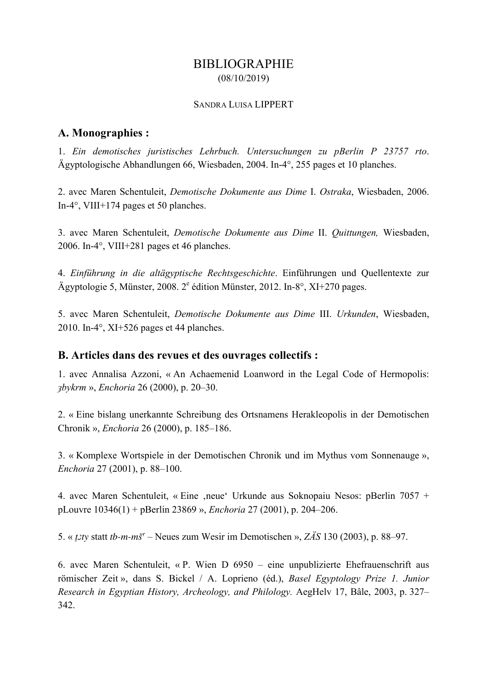# BIBLIOGRAPHIE (08/10/2019)

#### SANDRA LUISA LIPPERT

## **A. Monographies :**

1. *Ein demotisches juristisches Lehrbuch. Untersuchungen zu pBerlin P 23757 rto*. Ägyptologische Abhandlungen 66, Wiesbaden, 2004. In-4°, 255 pages et 10 planches.

2. avec Maren Schentuleit, *Demotische Dokumente aus Dime* I. *Ostraka*, Wiesbaden, 2006. In-4°, VIII+174 pages et 50 planches.

3. avec Maren Schentuleit, *Demotische Dokumente aus Dime* II. *Quittungen,* Wiesbaden, 2006. In-4°, VIII+281 pages et 46 planches.

4. *Einführung in die altägyptische Rechtsgeschichte*. Einführungen und Quellentexte zur Ägyptologie 5, Münster, 2008.  $2^e$  édition Münster, 2012. In-8°, XI+270 pages.

5. avec Maren Schentuleit, *Demotische Dokumente aus Dime* III. *Urkunden*, Wiesbaden, 2010. In-4°, XI+526 pages et 44 planches.

### **B. Articles dans des revues et des ouvrages collectifs :**

1. avec Annalisa Azzoni, « An Achaemenid Loanword in the Legal Code of Hermopolis: *ȝbykrm* », *Enchoria* 26 (2000), p. 20–30.

2. « Eine bislang unerkannte Schreibung des Ortsnamens Herakleopolis in der Demotischen Chronik », *Enchoria* 26 (2000), p. 185–186.

3. « Komplexe Wortspiele in der Demotischen Chronik und im Mythus vom Sonnenauge », *Enchoria* 27 (2001), p. 88–100.

4. avec Maren Schentuleit, « Eine , neue Urkunde aus Soknopaiu Nesos: pBerlin 7057 + pLouvre 10346(1) + pBerlin 23869 », *Enchoria* 27 (2001), p. 204–206.

5. « *ṯȝty* statt *tb-m-mšʿ* – Neues zum Wesir im Demotischen », *ZÄS* 130 (2003), p. 88–97.

6. avec Maren Schentuleit, « P. Wien D 6950 – eine unpublizierte Ehefrauenschrift aus römischer Zeit », dans S. Bickel / A. Loprieno (éd.), *Basel Egyptology Prize 1. Junior Research in Egyptian History, Archeology, and Philology.* AegHelv 17, Bâle, 2003, p. 327– 342.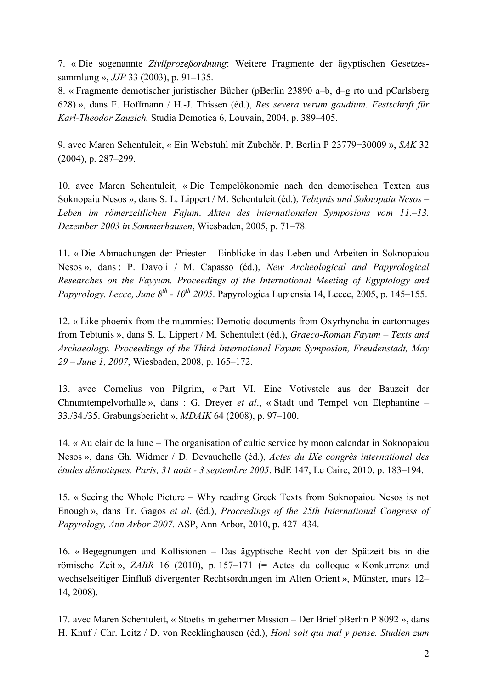7. « Die sogenannte *Zivilprozeßordnung*: Weitere Fragmente der ägyptischen Gesetzessammlung », *JJP* 33 (2003), p. 91–135.

8. « Fragmente demotischer juristischer Bücher (pBerlin 23890 a–b, d–g rto und pCarlsberg 628) », dans F. Hoffmann / H.-J. Thissen (éd.), *Res severa verum gaudium. Festschrift für Karl-Theodor Zauzich.* Studia Demotica 6, Louvain, 2004, p. 389–405.

9. avec Maren Schentuleit, « Ein Webstuhl mit Zubehör. P. Berlin P 23779+30009 », *SAK* 32 (2004), p. 287–299.

10. avec Maren Schentuleit, « Die Tempelökonomie nach den demotischen Texten aus Soknopaiu Nesos », dans S. L. Lippert / M. Schentuleit (éd.), *Tebtynis und Soknopaiu Nesos – Leben im römerzeitlichen Fajum*. *Akten des internationalen Symposions vom 11.–13. Dezember 2003 in Sommerhausen*, Wiesbaden, 2005, p. 71–78.

11. « Die Abmachungen der Priester – Einblicke in das Leben und Arbeiten in Soknopaiou Nesos », dans : P. Davoli / M. Capasso (éd.), *New Archeological and Papyrological Researches on the Fayyum. Proceedings of the International Meeting of Egyptology and Papyrology. Lecce, June 8<sup>th</sup> - 10<sup>th</sup> 2005*. Papyrologica Lupiensia 14, Lecce, 2005, p. 145–155.

12. « Like phoenix from the mummies: Demotic documents from Oxyrhyncha in cartonnages from Tebtunis », dans S. L. Lippert / M. Schentuleit (éd.), *Graeco-Roman Fayum – Texts and Archaeology. Proceedings of the Third International Fayum Symposion, Freudenstadt, May 29 – June 1, 2007*, Wiesbaden, 2008, p. 165–172.

13. avec Cornelius von Pilgrim, « Part VI. Eine Votivstele aus der Bauzeit der Chnumtempelvorhalle », dans : G. Dreyer *et al*., « Stadt und Tempel von Elephantine – 33./34./35. Grabungsbericht », *MDAIK* 64 (2008), p. 97–100.

14. « Au clair de la lune – The organisation of cultic service by moon calendar in Soknopaiou Nesos », dans Gh. Widmer / D. Devauchelle (éd.), *Actes du IXe congrès international des études démotiques. Paris, 31 août - 3 septembre 2005*. BdE 147, Le Caire, 2010, p. 183–194.

15. « Seeing the Whole Picture – Why reading Greek Texts from Soknopaiou Nesos is not Enough », dans Tr. Gagos *et al*. (éd.), *Proceedings of the 25th International Congress of Papyrology, Ann Arbor 2007.* ASP, Ann Arbor, 2010, p. 427–434.

16. « Begegnungen und Kollisionen – Das ägyptische Recht von der Spätzeit bis in die römische Zeit », *ZABR* 16 (2010), p. 157–171 (= Actes du colloque « Konkurrenz und wechselseitiger Einfluß divergenter Rechtsordnungen im Alten Orient », Münster, mars 12– 14, 2008).

17. avec Maren Schentuleit, « Stoetis in geheimer Mission – Der Brief pBerlin P 8092 », dans H. Knuf / Chr. Leitz / D. von Recklinghausen (éd.), *Honi soit qui mal y pense. Studien zum*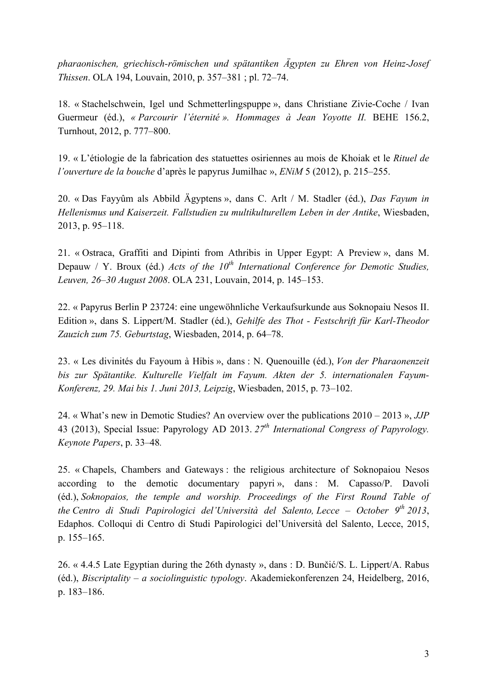*pharaonischen, griechisch-römischen und spätantiken Ägypten zu Ehren von Heinz-Josef Thissen*. OLA 194, Louvain, 2010, p. 357–381 ; pl. 72–74.

18. « Stachelschwein, Igel und Schmetterlingspuppe », dans Christiane Zivie-Coche / Ivan Guermeur (éd.), *« Parcourir l'éternité ». Hommages à Jean Yoyotte II.* BEHE 156.2, Turnhout, 2012, p. 777–800.

19. « L'étiologie de la fabrication des statuettes osiriennes au mois de Khoiak et le *Rituel de l'ouverture de la bouche* d'après le papyrus Jumilhac », *ENiM* 5 (2012), p. 215–255.

20. « Das Fayyûm als Abbild Ägyptens », dans C. Arlt / M. Stadler (éd.), *Das Fayum in Hellenismus und Kaiserzeit. Fallstudien zu multikulturellem Leben in der Antike*, Wiesbaden, 2013, p. 95–118.

21. « Ostraca, Graffiti and Dipinti from Athribis in Upper Egypt: A Preview », dans M. Depauw / Y. Broux (éd.) *Acts of the 10th International Conference for Demotic Studies, Leuven, 26–30 August 2008*. OLA 231, Louvain, 2014, p. 145–153.

22. « Papyrus Berlin P 23724: eine ungewöhnliche Verkaufsurkunde aus Soknopaiu Nesos II. Edition », dans S. Lippert/M. Stadler (éd.), *Gehilfe des Thot - Festschrift für Karl-Theodor Zauzich zum 75. Geburtstag*, Wiesbaden, 2014, p. 64–78.

23. « Les divinités du Fayoum à Hibis », dans : N. Quenouille (éd.), *Von der Pharaonenzeit bis zur Spätantike. Kulturelle Vielfalt im Fayum. Akten der 5. internationalen Fayum-Konferenz, 29. Mai bis 1. Juni 2013, Leipzig*, Wiesbaden, 2015, p. 73–102.

24. « What's new in Demotic Studies? An overview over the publications 2010 – 2013 », *JJP* 43 (2013), Special Issue: Papyrology AD 2013. *27th International Congress of Papyrology. Keynote Papers*, p. 33–48*.*

25. « Chapels, Chambers and Gateways : the religious architecture of Soknopaiou Nesos according to the demotic documentary papyri », dans : M. Capasso/P. Davoli (éd.), *Soknopaios, the temple and worship. Proceedings of the First Round Table of the Centro di Studi Papirologici del'Università del Salento, Lecce – October 9th 2013*, Edaphos. Colloqui di Centro di Studi Papirologici del'Università del Salento, Lecce, 2015, p. 155–165.

26. « 4.4.5 Late Egyptian during the 26th dynasty », dans : D. Bunčić/S. L. Lippert/A. Rabus (éd.), *Biscriptality – a sociolinguistic typology*. Akademiekonferenzen 24, Heidelberg, 2016, p. 183–186.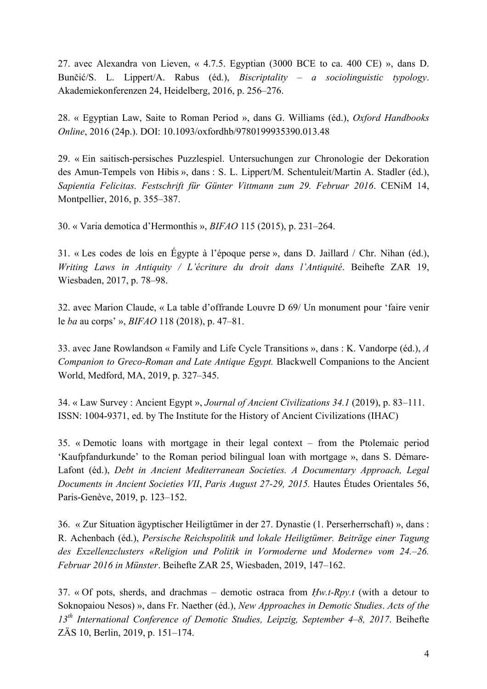27. avec Alexandra von Lieven, « 4.7.5. Egyptian (3000 BCE to ca. 400 CE) », dans D. Bunčić/S. L. Lippert/A. Rabus (éd.), *Biscriptality – a sociolinguistic typology*. Akademiekonferenzen 24, Heidelberg, 2016, p. 256–276.

28. « Egyptian Law, Saite to Roman Period », dans G. Williams (éd.), *Oxford Handbooks Online*, 2016 (24p.). DOI: 10.1093/oxfordhb/9780199935390.013.48

29. « Ein saitisch-persisches Puzzlespiel. Untersuchungen zur Chronologie der Dekoration des Amun-Tempels von Hibis », dans : S. L. Lippert/M. Schentuleit/Martin A. Stadler (éd.), *Sapientia Felicitas. Festschrift für Günter Vittmann zum 29. Februar 2016*. CENiM 14, Montpellier, 2016, p. 355–387.

30. « Varia demotica d'Hermonthis », *BIFAO* 115 (2015), p. 231–264.

31. « Les codes de lois en Égypte à l'époque perse », dans D. Jaillard / Chr. Nihan (éd.), *Writing Laws in Antiquity / L'écriture du droit dans l'Antiquité*. Beihefte ZAR 19, Wiesbaden, 2017, p. 78–98.

32. avec Marion Claude, « La table d'offrande Louvre D 69/ Un monument pour 'faire venir le *ba* au corps' », *BIFAO* 118 (2018), p. 47–81.

33. avec Jane Rowlandson « Family and Life Cycle Transitions », dans : K. Vandorpe (éd.), *A Companion to Greco-Roman and Late Antique Egypt.* Blackwell Companions to the Ancient World, Medford, MA, 2019, p. 327–345.

34. « Law Survey : Ancient Egypt », *Journal of Ancient Civilizations 34.1* (2019), p. 83–111. ISSN: 1004-9371, ed. by The Institute for the History of Ancient Civilizations (IHAC)

35. « Demotic loans with mortgage in their legal context – from the Ptolemaic period 'Kaufpfandurkunde' to the Roman period bilingual loan with mortgage », dans S. Démare-Lafont (éd.), *Debt in Ancient Mediterranean Societies. A Documentary Approach, Legal Documents in Ancient Societies VII*, *Paris August 27-29, 2015.* Hautes Études Orientales 56, Paris-Genève, 2019, p. 123–152.

36. « Zur Situation ägyptischer Heiligtümer in der 27. Dynastie (1. Perserherrschaft) », dans : R. Achenbach (éd.), *Persische Reichspolitik und lokale Heiligtümer. Beiträge einer Tagung des Exzellenzclusters «Religion und Politik in Vormoderne und Moderne» vom 24.–26. Februar 2016 in Münster*. Beihefte ZAR 25, Wiesbaden, 2019, 147–162.

37. « Of pots, sherds, and drachmas – demotic ostraca from *Ḥw.t-Rpy.t* (with a detour to Soknopaiou Nesos) », dans Fr. Naether (éd.), *New Approaches in Demotic Studies*. *Acts of the 13th International Conference of Demotic Studies, Leipzig, September 4–8, 2017*. Beihefte ZÄS 10, Berlin, 2019, p. 151–174.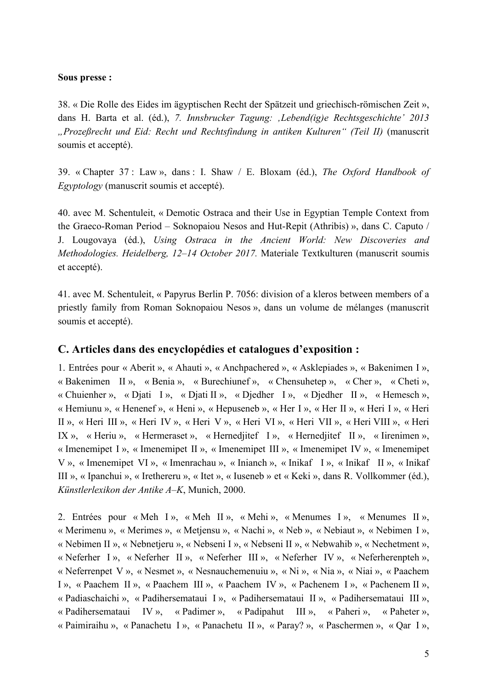#### **Sous presse :**

38. « Die Rolle des Eides im ägyptischen Recht der Spätzeit und griechisch-römischen Zeit », dans H. Barta et al. (éd.), *7. Innsbrucker Tagung: 'Lebend(ig)e Rechtsgeschichte' 2013 "Prozeßrecht und Eid: Recht und Rechtsfindung in antiken Kulturen" (Teil II)* (manuscrit soumis et accepté).

39. « Chapter 37 : Law », dans : I. Shaw / E. Bloxam (éd.), *The Oxford Handbook of Egyptology* (manuscrit soumis et accepté).

40. avec M. Schentuleit, « Demotic Ostraca and their Use in Egyptian Temple Context from the Graeco-Roman Period – Soknopaiou Nesos and Hut-Repit (Athribis) », dans C. Caputo / J. Lougovaya (éd.), *Using Ostraca in the Ancient World: New Discoveries and Methodologies. Heidelberg, 12–14 October 2017.* Materiale Textkulturen (manuscrit soumis et accepté).

41. avec M. Schentuleit, « Papyrus Berlin P. 7056: division of a kleros between members of a priestly family from Roman Soknopaiou Nesos », dans un volume de mélanges (manuscrit soumis et accepté).

### **C. Articles dans des encyclopédies et catalogues d'exposition :**

1. Entrées pour « Aberit », « Ahauti », « Anchpachered », « Asklepiades », « Bakenimen I », « Bakenimen II », « Benia », « Burechiunef », « Chensuhetep », « Cher », « Cheti », « Chuienher », « Djati I », « Djati II », « Djedher I », « Djedher II », « Hemesch », « Hemiunu », « Henenef », « Heni », « Hepuseneb », « Her I », « Her II », « Heri I », « Heri II », « Heri III », « Heri IV », « Heri V », « Heri VI », « Heri VII », « Heri VIII », « Heri IX », « Heriu », « Hermeraset », « Hernedjitef I », « Hernedjitef II », « Iirenimen », « Imenemipet I », « Imenemipet II », « Imenemipet III », « Imenemipet IV », « Imenemipet V », « Imenemipet VI », « Imenrachau », « Inianch », « Inikaf I », « Inikaf II », « Inikaf III », « Ipanchui », « Irethereru », « Itet », « Iuseneb » et « Keki », dans R. Vollkommer (éd.), *Künstlerlexikon der Antike A–K*, Munich, 2000.

2. Entrées pour « Meh I », « Meh II », « Mehi », « Menumes I », « Menumes II », « Merimenu », « Merimes », « Metjensu », « Nachi », « Neb », « Nebiaut », « Nebimen I », « Nebimen II », « Nebnetjeru », « Nebseni I », « Nebseni II », « Nebwahib », « Nechetment », « Neferher I », « Neferher II », « Neferher III », « Neferher IV », « Neferherenpteh », « Neferrenpet V », « Nesmet », « Nesnauchemenuiu », « Ni », « Nia », « Niai », « Paachem I », « Paachem II », « Paachem III », « Paachem IV », « Pachenem I », « Pachenem II », « Padiaschaichi », « Padihersemataui I », « Padihersemataui II », « Padihersemataui III », « Padihersemataui IV », « Padimer », « Padipahut III », « Paheri », « Paheter », « Paimiraihu », « Panachetu I », « Panachetu II », « Paray? », « Paschermen », « Qar I »,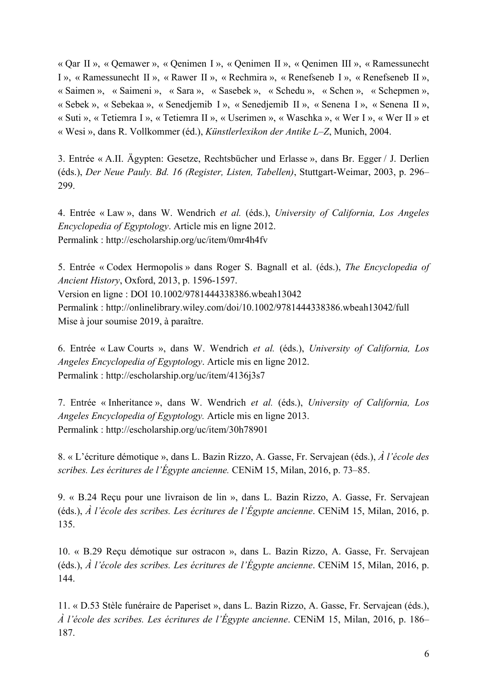« Qar II », « Qemawer », « Qenimen I », « Qenimen II », « Qenimen III », « Ramessunecht I », « Ramessunecht II », « Rawer II », « Rechmira », « Renefseneb I », « Renefseneb II », « Saimen », « Saimeni », « Sara », « Sasebek », « Schedu », « Schen », « Schepmen », « Sebek », « Sebekaa », « Senedjemib I », « Senedjemib II », « Senena I », « Senena II », « Suti », « Tetiemra I », « Tetiemra II », « Userimen », « Waschka », « Wer I », « Wer II » et « Wesi », dans R. Vollkommer (éd.), *Künstlerlexikon der Antike L–Z*, Munich, 2004.

3. Entrée « A.II. Ägypten: Gesetze, Rechtsbücher und Erlasse », dans Br. Egger / J. Derlien (éds.), *Der Neue Pauly. Bd. 16 (Register, Listen, Tabellen)*, Stuttgart-Weimar, 2003, p. 296– 299.

4. Entrée « Law », dans W. Wendrich *et al.* (éds.), *University of California, Los Angeles Encyclopedia of Egyptology*. Article mis en ligne 2012. Permalink : http://escholarship.org/uc/item/0mr4h4fv

5. Entrée « Codex Hermopolis » dans Roger S. Bagnall et al. (éds.), *The Encyclopedia of Ancient History*, Oxford, 2013, p. 1596-1597. Version en ligne : DOI 10.1002/9781444338386.wbeah13042 Permalink : http://onlinelibrary.wiley.com/doi/10.1002/9781444338386.wbeah13042/full Mise à jour soumise 2019, à paraître.

6. Entrée « Law Courts », dans W. Wendrich *et al.* (éds.), *University of California, Los Angeles Encyclopedia of Egyptology*. Article mis en ligne 2012. Permalink : http://escholarship.org/uc/item/4136j3s7

7. Entrée « Inheritance », dans W. Wendrich *et al.* (éds.), *University of California, Los Angeles Encyclopedia of Egyptology.* Article mis en ligne 2013. Permalink : http://escholarship.org/uc/item/30h78901

8. « L'écriture démotique », dans L. Bazin Rizzo, A. Gasse, Fr. Servajean (éds.), *À l'école des scribes. Les écritures de l'Égypte ancienne.* CENiM 15, Milan, 2016, p. 73–85.

9. « B.24 Reçu pour une livraison de lin », dans L. Bazin Rizzo, A. Gasse, Fr. Servajean (éds.), *À l'école des scribes. Les écritures de l'Égypte ancienne*. CENiM 15, Milan, 2016, p. 135.

10. « B.29 Reçu démotique sur ostracon », dans L. Bazin Rizzo, A. Gasse, Fr. Servajean (éds.), *À l'école des scribes. Les écritures de l'Égypte ancienne*. CENiM 15, Milan, 2016, p. 144.

11. « D.53 Stèle funéraire de Paperiset », dans L. Bazin Rizzo, A. Gasse, Fr. Servajean (éds.), *À l'école des scribes. Les écritures de l'Égypte ancienne*. CENiM 15, Milan, 2016, p. 186– 187.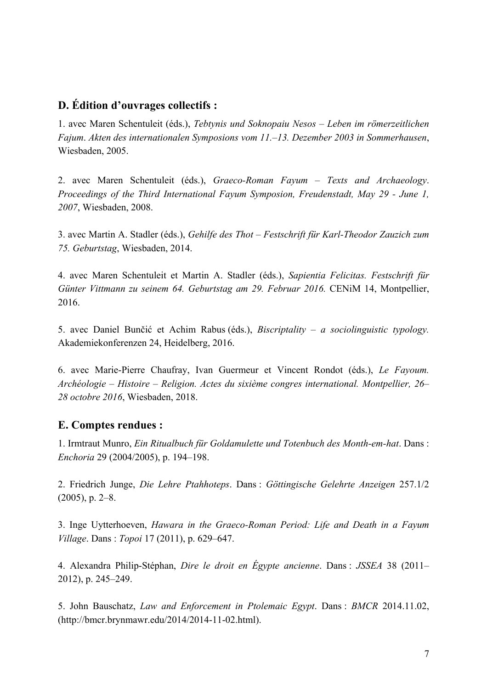# **D. Édition d'ouvrages collectifs :**

1. avec Maren Schentuleit (éds.), *Tebtynis und Soknopaiu Nesos – Leben im römerzeitlichen Fajum*. *Akten des internationalen Symposions vom 11.–13. Dezember 2003 in Sommerhausen*, Wiesbaden, 2005.

2. avec Maren Schentuleit (éds.), *Graeco-Roman Fayum – Texts and Archaeology*. *Proceedings of the Third International Fayum Symposion, Freudenstadt, May 29 - June 1, 2007*, Wiesbaden, 2008.

3. avec Martin A. Stadler (éds.), *Gehilfe des Thot – Festschrift für Karl-Theodor Zauzich zum 75. Geburtstag*, Wiesbaden, 2014.

4. avec Maren Schentuleit et Martin A. Stadler (éds.), *Sapientia Felicitas. Festschrift für Günter Vittmann zu seinem 64. Geburtstag am 29. Februar 2016.* CENiM 14, Montpellier, 2016.

5. avec Daniel Bunčić et Achim Rabus (éds.), *Biscriptality – a sociolinguistic typology.* Akademiekonferenzen 24, Heidelberg, 2016.

6. avec Marie-Pierre Chaufray, Ivan Guermeur et Vincent Rondot (éds.), *Le Fayoum. Archéologie – Histoire – Religion. Actes du sixième congres international. Montpellier, 26– 28 octobre 2016*, Wiesbaden, 2018.

## **E. Comptes rendues :**

1. Irmtraut Munro, *Ein Ritualbuch für Goldamulette und Totenbuch des Month-em-hat*. Dans : *Enchoria* 29 (2004/2005), p. 194–198.

2. Friedrich Junge, *Die Lehre Ptahhoteps*. Dans : *Göttingische Gelehrte Anzeigen* 257.1/2  $(2005)$ , p. 2–8.

3. Inge Uytterhoeven, *Hawara in the Graeco-Roman Period: Life and Death in a Fayum Village*. Dans : *Topoi* 17 (2011), p. 629–647.

4. Alexandra Philip-Stéphan, *Dire le droit en Égypte ancienne*. Dans : *JSSEA* 38 (2011– 2012), p. 245–249.

5. John Bauschatz, *Law and Enforcement in Ptolemaic Egypt*. Dans : *BMCR* 2014.11.02, (http://bmcr.brynmawr.edu/2014/2014-11-02.html).